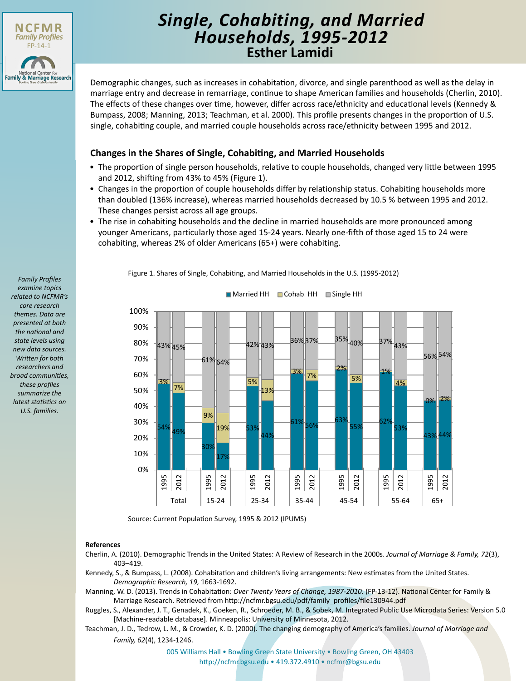

# **Esther Lamidi** *Single, Cohabiting, and Married Households, 1995-2012*

Demographic changes, such as increases in cohabitation, divorce, and single parenthood as well as the delay in marriage entry and decrease in remarriage, continue to shape American families and households (Cherlin, 2010). The effects of these changes over time, however, differ across race/ethnicity and educational levels (Kennedy & Bumpass, 2008; Manning, 2013; Teachman, et al. 2000). This profile presents changes in the proportion of U.S. single, cohabiting couple, and married couple households across race/ethnicity between 1995 and 2012.

## **Changes in the Shares of Single, Cohabiting, and Married Households**

- The proportion of single person households, relative to couple households, changed very little between 1995 and 2012, shifting from 43% to 45% (Figure 1).
- Changes in the proportion of couple households differ by relationship status. Cohabiting households more than doubled (136% increase), whereas married households decreased by 10.5 % between 1995 and 2012. These changes persist across all age groups.
- The rise in cohabiting households and the decline in married households are more pronounced among younger Americans, particularly those aged 15-24 years. Nearly one-fifth of those aged 15 to 24 were cohabiting, whereas 2% of older Americans (65+) were cohabiting.

*Family Profiles examine topics related to NCFMR's core research themes. Data are presented at both the national and state levels using new data sources. Written for both researchers and broad communities, these profiles summarize the latest statistics on U.S. families.*

Figure 1. Shares of Single, Cohabiting, and Married Households in the U.S. (1995-2012)



■ Married HH ■ Cohab. HH ■ Single HH

Source: Current Population Survey, 1995 & 2012 (IPUMS)

#### **References**

- Cherlin, A. (2010). Demographic Trends in the United States: A Review of Research in the 2000s. *Journal of Marriage & Family, 72*(3), 403–419.
- Kennedy, S., & Bumpass, L. (2008). Cohabitation and children's living arrangements: New estimates from the United States. *Demographic Research, 19,* 1663-1692.
- Manning, W. D. (2013). Trends in Cohabitation: *Over Twenty Years of Change, 1987-2010.* (FP-13-12). National Center for Family & Marriage Research. Retrieved from http://ncfmr.bgsu.edu/pdf/family\_profiles/file130944.pdf
- Ruggles, S., Alexander, J. T., Genadek, K., Goeken, R., Schroeder, M. B., & Sobek, M. Integrated Public Use Microdata Series: Version 5.0 [Machine-readable database]. Minneapolis: University of Minnesota, 2012.

Teachman, J. D., Tedrow, L. M., & Crowder, K. D. (2000). The changing demography of America's families. *Journal of Marriage and Family, 62*(4), 1234-1246.

> [005 Williams Hall • Bowling Green State University • Bowling Green, OH 43403](http://ncfmr.bgsu.edu) http://ncfmr.bgsu.edu • 419.372.4910 • ncfmr@bgsu.edu